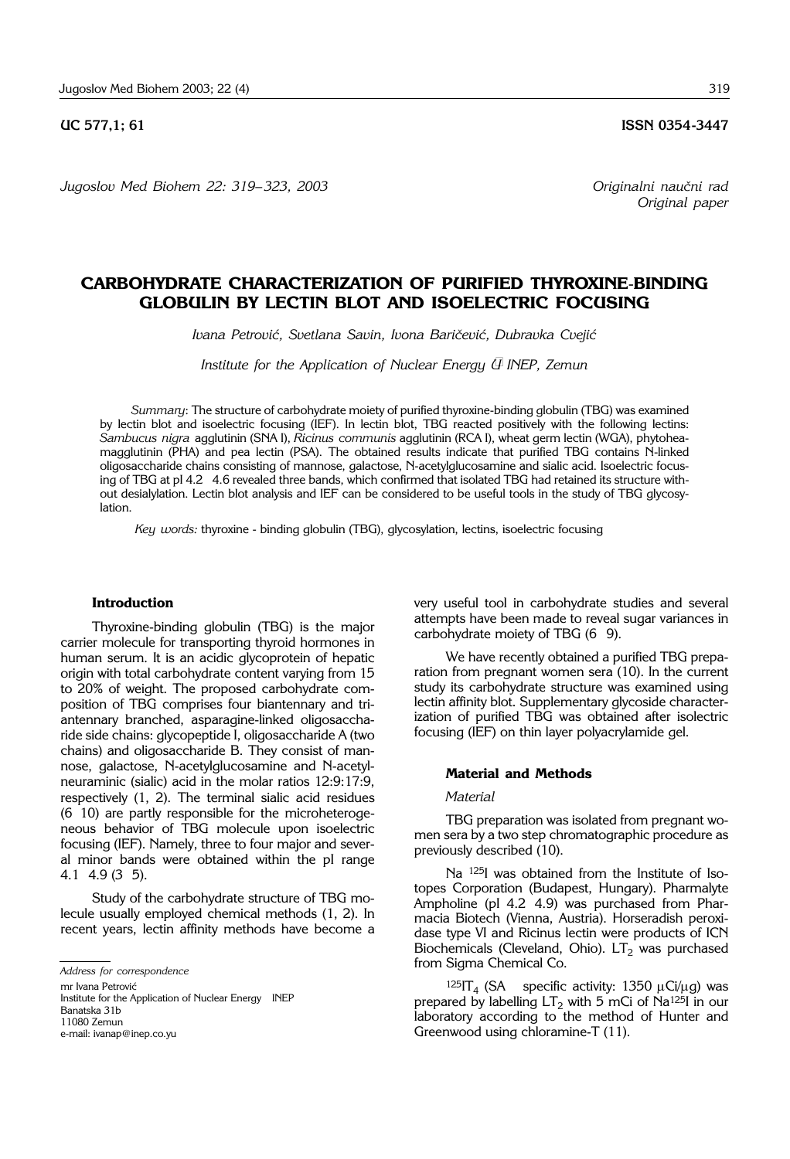*Jugoslov Med Biohem 22: 319*– *323, 2003 Originalni nau~ni rad*

**UC 577,1; 61 ISSN 0354-3447** 

*Original paper* 

# **CARBOHYDRATE CHARACTERIZATION OF PURIFIED THYROXINE**-**BINDING GLOBULIN BY LECTIN BLOT AND ISOELECTRIC FOCUSING**

Ivana Petrović, Svetlana Savin, Ivona Baričević, Dubravka Cvejić

*Institute for the Application of Nuclear Energy*  $\ddot{\psi}$  *INEP, Zemun* 

*Summary*: The structure of carbohydrate moiety of purified thyroxine-binding globulin (TBG) was examined by lectin blot and isoelectric focusing (IEF). In lectin blot, TBG reacted positively with the following lectins: *Sambucus nigra* agglutinin (SNA I), *Ricinus communis* agglutinin (RCA I), wheat germ lectin (WGA), phytoheamagglutinin (PHA) and pea lectin (PSA). The obtained results indicate that purified TBG contains N-linked oligosaccharide chains consisting of mannose, galactose, N-acetylglucosamine and sialic acid. Isoelectric focusing of TBG at pI 4.2' 4.6 revealed three bands, which confirmed that isolated TBG had retained its structure without desialylation. Lectin blot analysis and IEF can be considered to be useful tools in the study of TBG glycosylation.

*Key words:* thyroxine - binding globulin (TBG), glycosylation, lectins, isoelectric focusing

#### **Introduction**

Thyroxine-binding globulin (TBG) is the major carrier molecule for transporting thyroid hormones in human serum. It is an acidic glycoprotein of hepatic origin with total carbohydrate content varying from 15 to 20% of weight. The proposed carbohydrate composition of TBG comprises four biantennary and triantennary branched, asparagine-linked oligosaccharide side chains: glycopeptide I, oligosaccharide A (two chains) and oligosaccharide B. They consist of mannose, galactose, N-acetylglucosamine and N-acetylneuraminic (sialic) acid in the molar ratios 12:9:17:9, respectively (1, 2). The terminal sialic acid residues (6 10) are partly responsible for the microheterogeneous behavior of TBG molecule upon isoelectric focusing (IEF). Namely, three to four major and several minor bands were obtained within the pI range 4.1' 4.9 (3'5).

Study of the carbohydrate structure of TBG molecule usually employed chemical methods (1, 2). In recent years, lectin affinity methods have become a

mr Ivana Petrović

Institute for the Application of Nuclear Energy ' INEP Banatska 31b 11080 Zemun e-mail: ivanap@inep.co.yu

very useful tool in carbohydrate studies and several attempts have been made to reveal sugar variances in carbohydrate moiety of TBG (6 9).

We have recently obtained a purified TBG preparation from pregnant women sera (10). In the current study its carbohydrate structure was examined using lectin affinity blot. Supplementary glycoside characterization of purified TBG was obtained after isolectric focusing (IEF) on thin layer polyacrylamide gel.

## **Material and Methods**

### *Material*

TBG preparation was isolated from pregnant women sera by a two step chromatographic procedure as previously described (10).

Na 125I was obtained from the Institute of Isotopes Corporation (Budapest, Hungary). Pharmalyte Ampholine (pI 4.2 4.9) was purchased from Pharmacia Biotech (Vienna, Austria). Horseradish peroxidase type VI and Ricinus lectin were products of ICN Biochemicals (Cleveland, Ohio).  $LT<sub>2</sub>$  was purchased from Sigma Chemical Co.

 $125$ IT<sub>4</sub> (SA specific activity: 1350  $\mu$ Ci/ $\mu$ g) was prepared by labelling  $LT_2$  with 5 mCi of Na<sup>125</sup>I in our laboratory according to the method of Hunter and Greenwood using chloramine-T (11).

*Address for correspondence*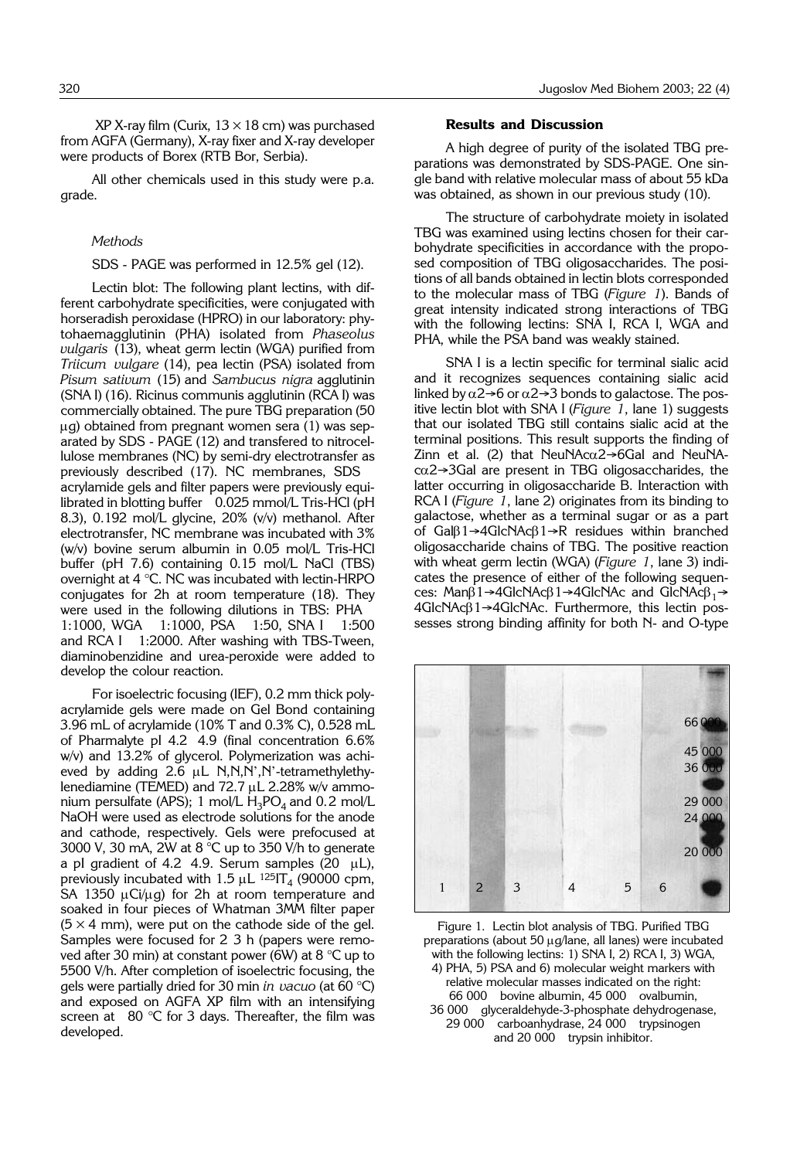$XP$  X-ray film (Curix,  $13 \times 18$  cm) was purchased from AGFA (Germany), X-ray fixer and X-ray developer were products of Borex (RTB Bor, Serbia).

All other chemicals used in this study were p.a. grade.

#### *Methods*

#### SDS - PAGE was performed in 12.5% gel (12).

Lectin blot: The following plant lectins, with different carbohydrate specificities, were conjugated with horseradish peroxidase (HPRO) in our laboratory: phytohaemagglutinin (PHA) isolated from *Phaseolus vulgaris* (13), wheat germ lectin (WGA) purified from *Triicum vulgare* (14), pea lectin (PSA) isolated from *Pisum sativum* (15) and *Sambucus nigra* agglutinin (SNA I) (16). Ricinus communis agglutinin (RCA I) was commercially obtained. The pure TBG preparation (50  $\mu$ g) obtained from pregnant women sera (1) was separated by SDS - PAGE (12) and transfered to nitrocellulose membranes (NC) by semi-dry electrotransfer as previously described (17). NC membranes, SDS ' acrylamide gels and filter papers were previously equilibrated in blotting buffer ' 0.025 mmol/L Tris-HCl (pH 8.3), 0.192 mol/L glycine, 20% (v/v) methanol. After electrotransfer, NC membrane was incubated with 3% (w/v) bovine serum albumin in 0.05 mol/L Tris-HCl buffer (pH 7.6) containing 0.15 mol/L NaCl (TBS) overnight at 4 °C. NC was incubated with lectin-HRPO conjugates for 2h at room temperature (18). They were used in the following dilutions in TBS: PHA 1:1000, WGA 1:1000, PSA 1:50, SNA I 1:500 and RCA I 1:2000. After washing with TBS-Tween, diaminobenzidine and urea-peroxide were added to develop the colour reaction.

For isoelectric focusing (IEF), 0.2 mm thick polyacrylamide gels were made on Gel Bond containing 3.96 mL of acrylamide (10% T and 0.3% C), 0.528 mL of Pharmalyte pI 4.2 4.9 (final concentration 6.6%) w/v) and 13.2% of glycerol. Polymerization was achieved by adding 2.6  $\mu$ L N,N,N',N'-tetramethylethylenediamine (TEMED) and  $72.7 \mu L$  2.28% w/v ammonium persulfate (APS); 1 mol/L  $H_3PO_4$  and 0.2 mol/L NaOH were used as electrode solutions for the anode and cathode, respectively. Gels were prefocused at 3000 V, 30 mA, 2W at 8  $^{\circ}$ C up to 350 V/h to generate a pI gradient of 4.2 4.9. Serum samples (20  $\mu$ L), previously incubated with  $1.5 \mu L$  125IT<sub>4</sub> (90000 cpm, SA 1350  $\mu$ Ci/ $\mu$ g) for 2h at room temperature and soaked in four pieces of Whatman 3MM filter paper  $(5 \times 4 \text{ mm})$ , were put on the cathode side of the gel. Samples were focused for 2 3 h (papers were removed after 30 min) at constant power (6W) at 8  $\degree$ C up to 5500 V/h. After completion of isoelectric focusing, the gels were partially dried for 30 min *in vacuo* (at 60 °C) and exposed on AGFA XP film with an intensifying screen at  $80^\circ\text{C}$  for 3 days. Thereafter, the film was developed.

## **Results and Discussion**

A high degree of purity of the isolated TBG preparations was demonstrated by SDS-PAGE. One single band with relative molecular mass of about 55 kDa was obtained, as shown in our previous study (10).

The structure of carbohydrate moiety in isolated TBG was examined using lectins chosen for their carbohydrate specificities in accordance with the proposed composition of TBG oligosaccharides. The positions of all bands obtained in lectin blots corresponded to the molecular mass of TBG (*Figure 1*). Bands of great intensity indicated strong interactions of TBG with the following lectins: SNA I, RCA I, WGA and PHA, while the PSA band was weakly stained.

SNA I is a lectin specific for terminal sialic acid and it recognizes sequences containing sialic acid linked by  $\alpha$ 2→6 or  $\alpha$ 2→3 bonds to galactose. The positive lectin blot with SNA I (*Figure 1*, lane 1) suggests that our isolated TBG still contains sialic acid at the terminal positions. This result supports the finding of Zinn et al. (2) that NeuNAc $\alpha$ 2→6Gal and NeuNAca2→3Gal are present in TBG oligosaccharides, the latter occurring in oligosaccharide B. Interaction with RCA I (*Figure 1*, lane 2) originates from its binding to galactose, whether as a terminal sugar or as a part of Galβ1→4GlcNAcβ1→R residues within branched oligosaccharide chains of TBG. The positive reaction with wheat germ lectin (WGA) (*Figure 1*, lane 3) indicates the presence of either of the following sequences: Man $\beta$ 1→4GlcNAc $\beta$ 1→4GlcNAc and GlcNAc $\beta_1$ → 4GlcNAcβ1→4GlcNAc. Furthermore, this lectin possesses strong binding affinity for both N- and O-type



Figure 1. Lectin blot analysis of TBG. Purified TBG preparations (about 50 µg/lane, all lanes) were incubated with the following lectins: 1) SNA I, 2) RCA I, 3) WGA, 4) PHA, 5) PSA and 6) molecular weight markers with relative molecular masses indicated on the right: 66 000 ' bovine albumin, 45 000 ' ovalbumin, 36 000 ' glyceraldehyde-3-phosphate dehydrogenase, 29 000 carboanhydrase, 24 000 trypsinogen

and 20 000 trypsin inhibitor.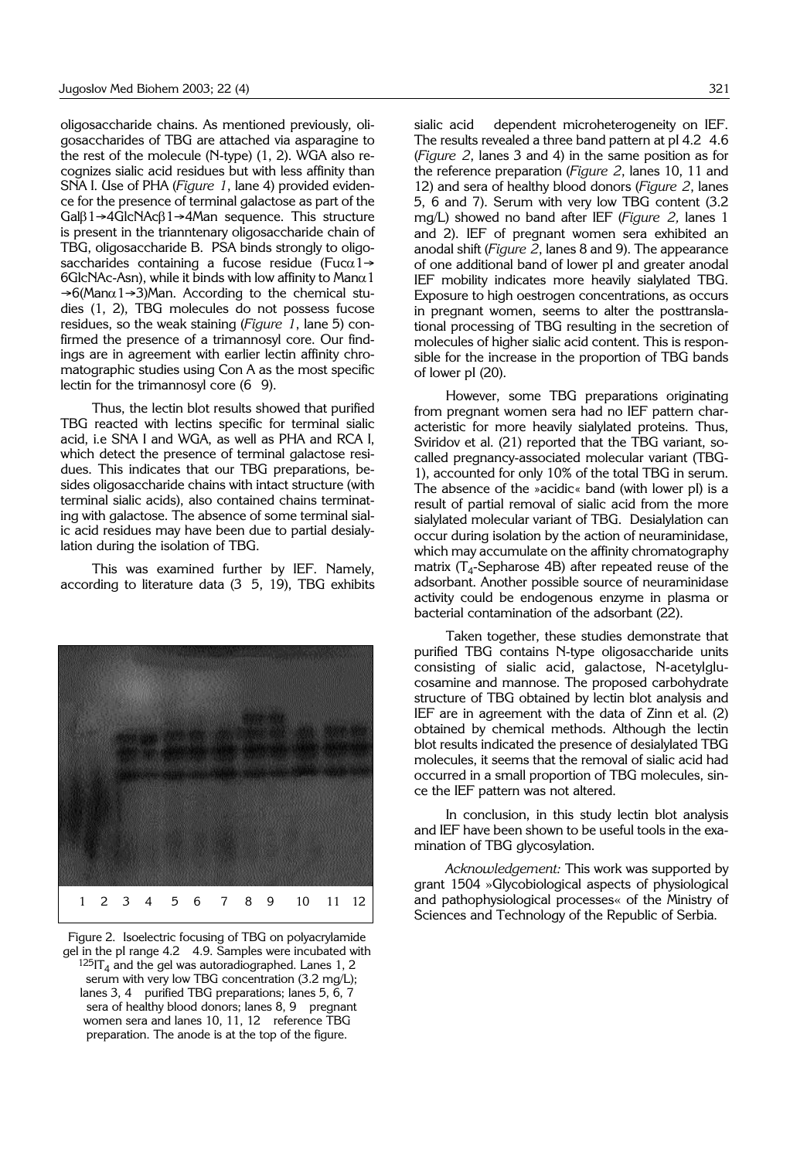oligosaccharide chains. As mentioned previously, oligosaccharides of TBG are attached via asparagine to the rest of the molecule (N-type) (1, 2). WGA also recognizes sialic acid residues but with less affinity than SNA I. Use of PHA (*Figure 1*, lane 4) provided evidence for the presence of terminal galactose as part of the Galβ1→4GlcNAcβ1→4Man sequence. This structure is present in the trianntenary oligosaccharide chain of TBG, oligosaccharide B. PSA binds strongly to oligosaccharides containing a fucose residue (Fuc $\alpha$ 1→ 6GlcNAc-Asn), while it binds with low affinity to Man $\alpha$ 1  $\rightarrow$  6(Man $\alpha$ 1 $\rightarrow$ 3)Man. According to the chemical studies (1, 2), TBG molecules do not possess fucose residues, so the weak staining (*Figure 1*, lane 5) confirmed the presence of a trimannosyl core. Our findings are in agreement with earlier lectin affinity chromatographic studies using Con A as the most specific lectin for the trimannosyl core (6 9).

Thus, the lectin blot results showed that purified TBG reacted with lectins specific for terminal sialic acid, i.e SNA I and WGA, as well as PHA and RCA I, which detect the presence of terminal galactose residues. This indicates that our TBG preparations, besides oligosaccharide chains with intact structure (with terminal sialic acids), also contained chains terminating with galactose. The absence of some terminal sialic acid residues may have been due to partial desialylation during the isolation of TBG.

This was examined further by IEF. Namely, according to literature data (3 5, 19), TBG exhibits



Figure 2. Isoelectric focusing of TBG on polyacrylamide gel in the pI range 4.2 4.9. Samples were incubated with  $125$ IT<sub>4</sub> and the gel was autoradiographed. Lanes 1, 2 serum with very low TBG concentration  $(3.2 \text{ mg/L})$ ; lanes 3, 4 purified TBG preparations; lanes 5, 6, 7 sera of healthy blood donors; lanes 8, 9 pregnant women sera and lanes 10, 11, 12 reference TBG preparation. The anode is at the top of the figure.

sialic acid dependent microheterogeneity on IEF. The results revealed a three band pattern at pI 4.2 4.6 (*Figure 2*, lanes 3 and 4) in the same position as for the reference preparation (*Figure 2*, lanes 10, 11 and 12) and sera of healthy blood donors (*Figure 2*, lanes 5, 6 and 7). Serum with very low TBG content (3.2 mg/L) showed no band after IEF (*Figure 2,* lanes 1 and 2). IEF of pregnant women sera exhibited an anodal shift (*Figure 2*, lanes 8 and 9). The appearance of one additional band of lower pI and greater anodal IEF mobility indicates more heavily sialylated TBG. Exposure to high oestrogen concentrations, as occurs in pregnant women, seems to alter the posttranslational processing of TBG resulting in the secretion of molecules of higher sialic acid content. This is responsible for the increase in the proportion of TBG bands of lower pI (20).

However, some TBG preparations originating from pregnant women sera had no IEF pattern characteristic for more heavily sialylated proteins. Thus, Sviridov et al. (21) reported that the TBG variant, socalled pregnancy-associated molecular variant (TBG-1), accounted for only 10% of the total TBG in serum. The absence of the »acidic« band (with lower pI) is a result of partial removal of sialic acid from the more sialylated molecular variant of TBG. Desialylation can occur during isolation by the action of neuraminidase, which may accumulate on the affinity chromatography matrix ( $T_4$ -Sepharose 4B) after repeated reuse of the adsorbant. Another possible source of neuraminidase activity could be endogenous enzyme in plasma or bacterial contamination of the adsorbant (22).

Taken together, these studies demonstrate that purified TBG contains N-type oligosaccharide units consisting of sialic acid, galactose, N-acetylglucosamine and mannose. The proposed carbohydrate structure of TBG obtained by lectin blot analysis and IEF are in agreement with the data of Zinn et al. (2) obtained by chemical methods. Although the lectin blot results indicated the presence of desialylated TBG molecules, it seems that the removal of sialic acid had occurred in a small proportion of TBG molecules, since the IEF pattern was not altered.

In conclusion, in this study lectin blot analysis and IEF have been shown to be useful tools in the examination of TBG glycosylation.

*Acknowledgement:* This work was supported by grant 1504 »Glycobiological aspects of physiological and pathophysiological processes« of the Ministry of Sciences and Technology of the Republic of Serbia.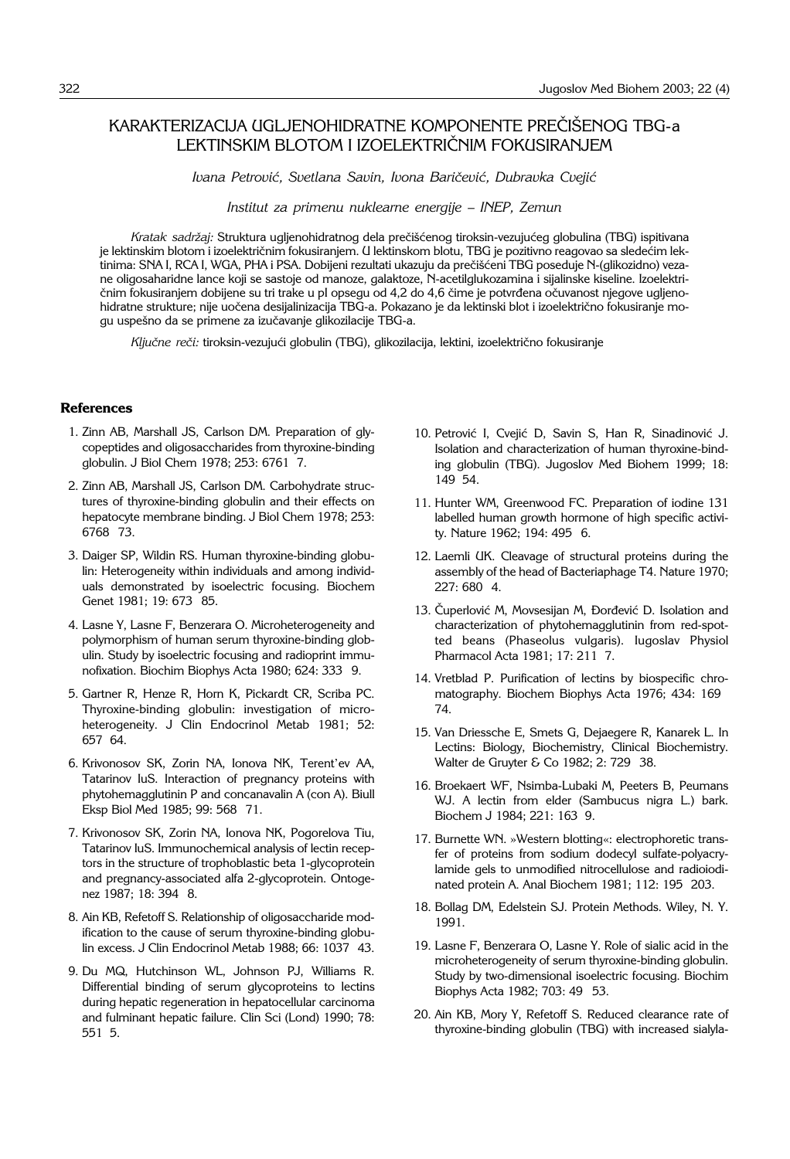# KARAKTERIZACIJA UGLJENOHIDRATNE KOMPONENTE PREČIŠENOG TBG-a LEKTINSKIM BLOTOM I IZOELEKTRIČNIM FOKUSIRANJEM

Ivana Petrović, Svetlana Savin, Ivona Baričević, Dubravka Cvejić

*Institut za primenu nuklearne energije - INEP, Zemun* 

*Kratak sadržaj: St*ruktura ugljenohidratnog dela prečišćenog tiroksin-vezujućeg globulina (TBG) ispitivana je lektinskim blotom i izoelektričnim fokusiranjem. U lektinskom blotu, TBG je pozitivno reagovao sa sledećim lektinima: SNA I, RCA I, WGA, PHA i PSA. Dobijeni rezultati ukazuju da prečišćeni TBG poseduje N-(glikozidno) vezane oligosaharidne lance koji se sastoje od manoze, galaktoze, N-acetilglukozamina i sijalinske kiseline. Izoelektri čnim fokusiranjem dobijene su tri trake u pI opsegu od 4,2 do 4,6 čime je potvrđena očuvanost njegove ugljenohidratne strukture; nije uočena desijalinizacija TBG-a. Pokazano je da lektinski blot i izoelektrično fokusiranje mogu uspešno da se primene za izučavanje glikozilacije TBG-a.

Ključne reči: tiroksin-vezujući globulin (TBG), glikozilacija, lektini, izoelektrično fokusiranje

#### **References**

- 1. Zinn AB, Marshall JS, Carlson DM. Preparation of glycopeptides and oligosaccharides from thyroxine-binding globulin. J Biol Chem 1978; 253: 6761' 7.
- 2. Zinn AB, Marshall JS, Carlson DM. Carbohydrate structures of thyroxine-binding globulin and their effects on hepatocyte membrane binding. J Biol Chem 1978; 253: 6768 '73.
- 3. Daiger SP, Wildin RS. Human thyroxine-binding globulin: Heterogeneity within individuals and among individuals demonstrated by isoelectric focusing. Biochem Genet 1981; 19: 673 85.
- 4. Lasne Y, Lasne F, Benzerara O. Microheterogeneity and polymorphism of human serum thyroxine-binding globulin. Study by isoelectric focusing and radioprint immunofixation. Biochim Biophys Acta 1980; 624: 333 '9.
- 5. Gartner R, Henze R, Horn K, Pickardt CR, Scriba PC. Thyroxine-binding globulin: investigation of microheterogeneity. J Clin Endocrinol Metab 1981; 52: 657' 64.
- 6. Krivonosov SK, Zorin NA, Ionova NK, Terent'ev AA, Tatarinov IuS. Interaction of pregnancy proteins with phytohemagglutinin P and concanavalin A (con A). Biull Eksp Biol Med 1985; 99: 568 71.
- 7. Krivonosov SK, Zorin NA, Ionova NK, Pogorelova Tiu, Tatarinov IuS. Immunochemical analysis of lectin receptors in the structure of trophoblastic beta 1-glycoprotein and pregnancy-associated alfa 2-glycoprotein. Ontogenez 1987; 18: 394 8.
- 8. Ain KB, Refetoff S. Relationship of oligosaccharide modification to the cause of serum thyroxine-binding globulin excess. J Clin Endocrinol Metab 1988; 66: 1037 43.
- 9. Du MQ, Hutchinson WL, Johnson PJ, Williams R. Differential binding of serum glycoproteins to lectins during hepatic regeneration in hepatocellular carcinoma and fulminant hepatic failure. Clin Sci (Lond) 1990; 78: 551' 5.
- 10. Petrović I, Cvejić D, Savin S, Han R, Sinadinović J. Isolation and characterization of human thyroxine-binding globulin (TBG). Jugoslov Med Biohem 1999; 18: 149'54.
- 11. Hunter WM, Greenwood FC. Preparation of iodine 131 labelled human growth hormone of high specific activity. Nature 1962; 194: 495 6.
- 12. Laemli UK. Cleavage of structural proteins during the assembly of the head of Bacteriaphage T4. Nature 1970; 227: 680 4.
- 13. Čuperlović M, Movsesijan M, Đorđević D. Isolation and characterization of phytohemagglutinin from red-spotted beans (Phaseolus vulgaris). Iugoslav Physiol Pharmacol Acta 1981; 17: 211' 7.
- 14. Vretblad P. Purification of lectins by biospecific chromatography. Biochem Biophys Acta 1976; 434: 169 74.
- 15. Van Driessche E, Smets G, Dejaegere R, Kanarek L. In Lectins: Biology, Biochemistry, Clinical Biochemistry. Walter de Gruyter & Co 1982; 2: 729 38.
- 16. Broekaert WF, Nsimba-Lubaki M, Peeters B, Peumans WJ. A lectin from elder (Sambucus nigra L.) bark. Biochem J 1984; 221: 163 9.
- 17. Burnette WN. »Western blotting«: electrophoretic transfer of proteins from sodium dodecyl sulfate-polyacrylamide gels to unmodified nitrocellulose and radioiodinated protein A. Anal Biochem 1981; 112: 195 203.
- 18. Bollag DM, Edelstein SJ. Protein Methods. Wiley, N. Y. 1991.
- 19. Lasne F, Benzerara O, Lasne Y. Role of sialic acid in the microheterogeneity of serum thyroxine-binding globulin. Study by two-dimensional isoelectric focusing. Biochim Biophys Acta 1982; 703: 49 53.
- 20. Ain KB, Mory Y, Refetoff S. Reduced clearance rate of thyroxine-binding globulin (TBG) with increased sialyla-